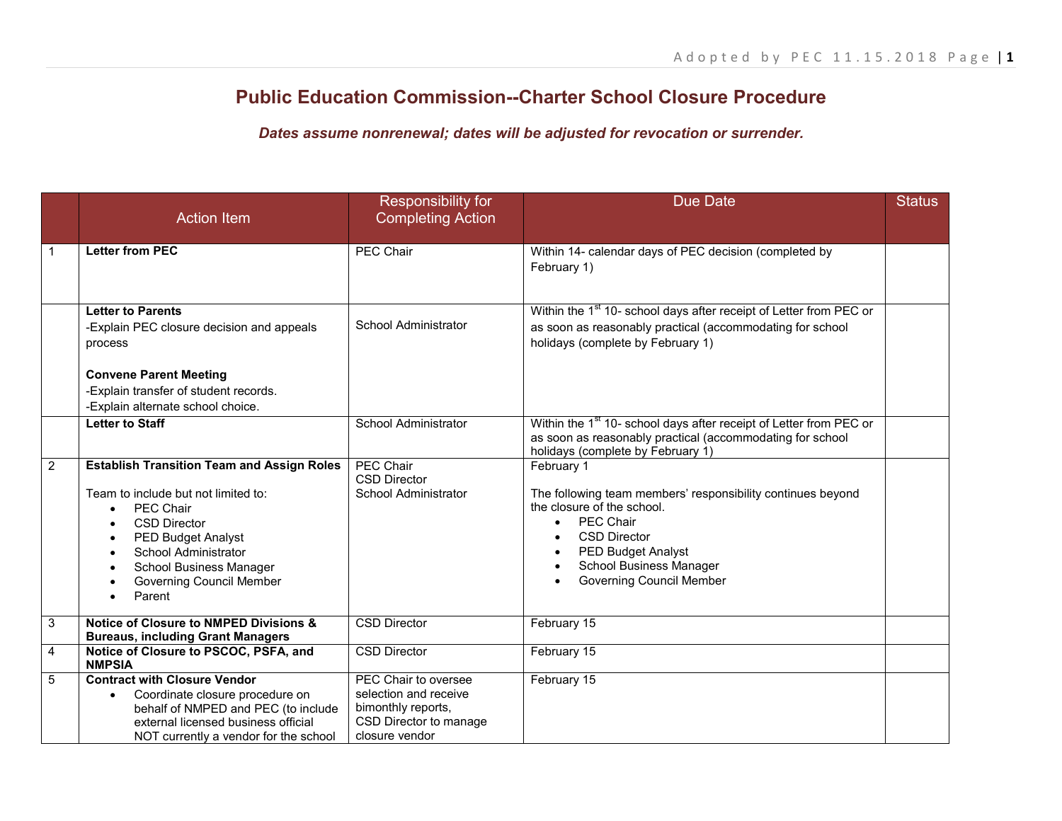## **Public Education Commission--Charter School Closure Procedure**

*Dates assume nonrenewal; dates will be adjusted for revocation or surrender.*

|                | <b>Action Item</b>                                                                                                                                                                                                                                                      | Responsibility for<br><b>Completing Action</b>                                                                  | <b>Due Date</b>                                                                                                                                                                                                                                                   | <b>Status</b> |
|----------------|-------------------------------------------------------------------------------------------------------------------------------------------------------------------------------------------------------------------------------------------------------------------------|-----------------------------------------------------------------------------------------------------------------|-------------------------------------------------------------------------------------------------------------------------------------------------------------------------------------------------------------------------------------------------------------------|---------------|
| $\mathbf{1}$   | <b>Letter from PEC</b>                                                                                                                                                                                                                                                  | <b>PEC Chair</b>                                                                                                | Within 14- calendar days of PEC decision (completed by<br>February 1)                                                                                                                                                                                             |               |
|                | <b>Letter to Parents</b><br>-Explain PEC closure decision and appeals<br>process<br><b>Convene Parent Meeting</b><br>-Explain transfer of student records.<br>-Explain alternate school choice.                                                                         | <b>School Administrator</b>                                                                                     | Within the 1 <sup>st</sup> 10- school days after receipt of Letter from PEC or<br>as soon as reasonably practical (accommodating for school<br>holidays (complete by February 1)                                                                                  |               |
|                | <b>Letter to Staff</b>                                                                                                                                                                                                                                                  | <b>School Administrator</b>                                                                                     | Within the 1 <sup>st</sup> 10- school days after receipt of Letter from PEC or<br>as soon as reasonably practical (accommodating for school<br>holidays (complete by February 1)                                                                                  |               |
| $\overline{2}$ | <b>Establish Transition Team and Assign Roles</b><br>Team to include but not limited to:<br><b>PEC Chair</b><br><b>CSD Director</b><br><b>PED Budget Analyst</b><br><b>School Administrator</b><br>School Business Manager<br><b>Governing Council Member</b><br>Parent | <b>PEC Chair</b><br><b>CSD Director</b><br><b>School Administrator</b>                                          | February 1<br>The following team members' responsibility continues beyond<br>the closure of the school.<br><b>PEC Chair</b><br>$\bullet$<br><b>CSD Director</b><br><b>PED Budget Analyst</b><br><b>School Business Manager</b><br><b>Governing Council Member</b> |               |
| 3              | <b>Notice of Closure to NMPED Divisions &amp;</b><br><b>Bureaus, including Grant Managers</b>                                                                                                                                                                           | <b>CSD Director</b>                                                                                             | February 15                                                                                                                                                                                                                                                       |               |
| $\overline{4}$ | Notice of Closure to PSCOC, PSFA, and<br><b>NMPSIA</b>                                                                                                                                                                                                                  | <b>CSD Director</b>                                                                                             | February 15                                                                                                                                                                                                                                                       |               |
| 5              | <b>Contract with Closure Vendor</b><br>Coordinate closure procedure on<br>$\bullet$<br>behalf of NMPED and PEC (to include<br>external licensed business official<br>NOT currently a vendor for the school                                                              | PEC Chair to oversee<br>selection and receive<br>bimonthly reports,<br>CSD Director to manage<br>closure vendor | February 15                                                                                                                                                                                                                                                       |               |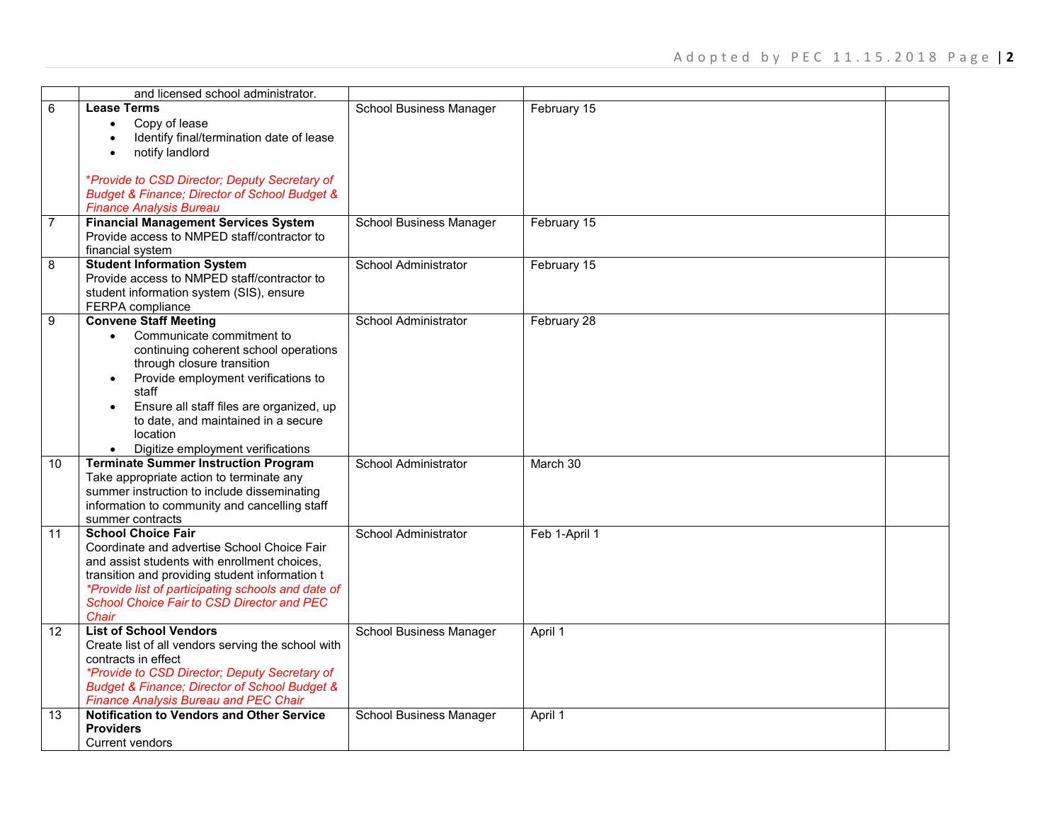|                | and licensed school administrator.                                                                                                                                                                                                                                                                                                |                                |               |  |
|----------------|-----------------------------------------------------------------------------------------------------------------------------------------------------------------------------------------------------------------------------------------------------------------------------------------------------------------------------------|--------------------------------|---------------|--|
| 6              | <b>Lease Terms</b><br>Copy of lease<br>$\bullet$<br>Identify final/termination date of lease<br>notify landlord                                                                                                                                                                                                                   | School Business Manager        | February 15   |  |
|                | *Provide to CSD Director; Deputy Secretary of<br><b>Budget &amp; Finance; Director of School Budget &amp;</b><br><b>Finance Analysis Bureau</b>                                                                                                                                                                                   |                                |               |  |
| $\overline{7}$ | <b>Financial Management Services System</b><br>Provide access to NMPED staff/contractor to<br>financial system                                                                                                                                                                                                                    | <b>School Business Manager</b> | February 15   |  |
| 8              | <b>Student Information System</b><br>Provide access to NMPED staff/contractor to<br>student information system (SIS), ensure<br>FERPA compliance                                                                                                                                                                                  | <b>School Administrator</b>    | February 15   |  |
| 9              | <b>Convene Staff Meeting</b><br>Communicate commitment to<br>$\bullet$<br>continuing coherent school operations<br>through closure transition<br>Provide employment verifications to<br>staff<br>Ensure all staff files are organized, up<br>to date, and maintained in a secure<br>location<br>Digitize employment verifications | School Administrator           | February 28   |  |
| 10             | <b>Terminate Summer Instruction Program</b><br>Take appropriate action to terminate any<br>summer instruction to include disseminating<br>information to community and cancelling staff<br>summer contracts                                                                                                                       | <b>School Administrator</b>    | March 30      |  |
| 11             | <b>School Choice Fair</b><br>Coordinate and advertise School Choice Fair<br>and assist students with enrollment choices,<br>transition and providing student information t<br><i>*Provide list of participating schools and date of</i><br>School Choice Fair to CSD Director and PEC<br>Chair                                    | <b>School Administrator</b>    | Feb 1-April 1 |  |
| 12             | <b>List of School Vendors</b><br>Create list of all vendors serving the school with<br>contracts in effect<br>*Provide to CSD Director; Deputy Secretary of<br><b>Budget &amp; Finance; Director of School Budget &amp;</b><br><b>Finance Analysis Bureau and PEC Chair</b>                                                       | School Business Manager        | April 1       |  |
| 13             | <b>Notification to Vendors and Other Service</b><br><b>Providers</b><br>Current vendors                                                                                                                                                                                                                                           | <b>School Business Manager</b> | April 1       |  |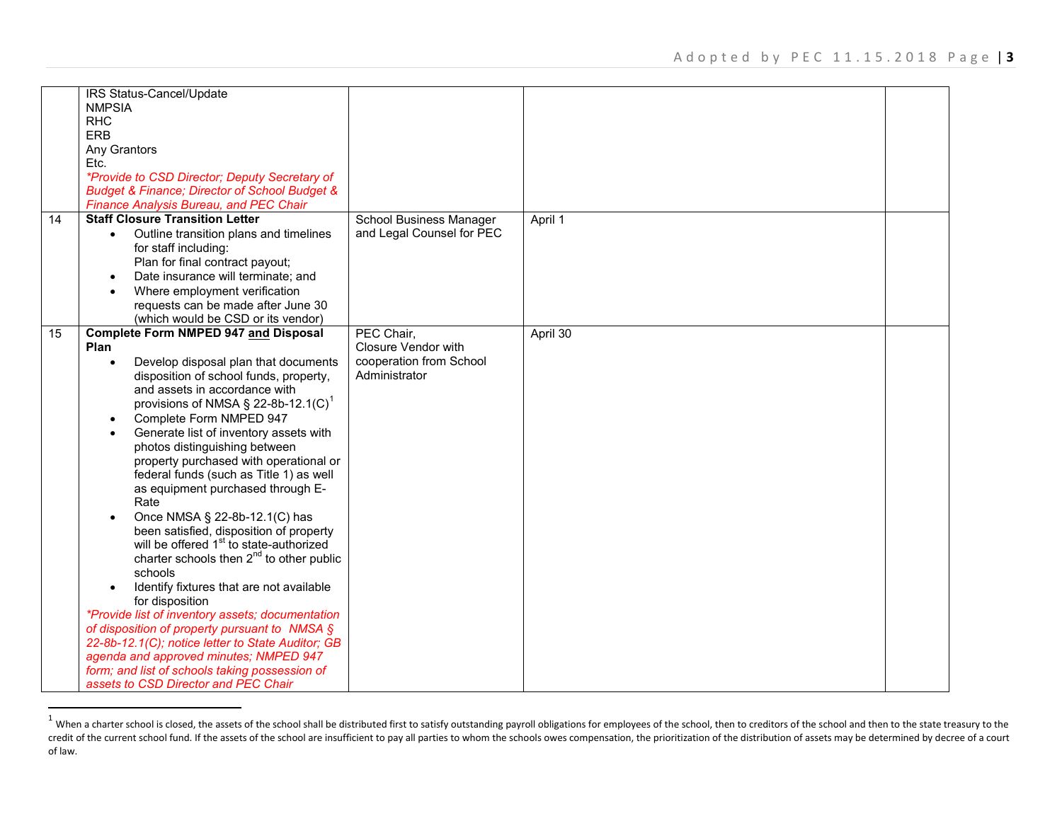<span id="page-2-0"></span>

|    | IRS Status-Cancel/Update                                     |                            |          |  |
|----|--------------------------------------------------------------|----------------------------|----------|--|
|    | <b>NMPSIA</b>                                                |                            |          |  |
|    | <b>RHC</b>                                                   |                            |          |  |
|    | ERB                                                          |                            |          |  |
|    | Any Grantors                                                 |                            |          |  |
|    | Etc.                                                         |                            |          |  |
|    | <i>*Provide to CSD Director; Deputy Secretary of</i>         |                            |          |  |
|    | <b>Budget &amp; Finance; Director of School Budget &amp;</b> |                            |          |  |
|    | Finance Analysis Bureau, and PEC Chair                       |                            |          |  |
| 14 | <b>Staff Closure Transition Letter</b>                       | School Business Manager    | April 1  |  |
|    | Outline transition plans and timelines<br>$\bullet$          | and Legal Counsel for PEC  |          |  |
|    | for staff including:                                         |                            |          |  |
|    | Plan for final contract payout;                              |                            |          |  |
|    | Date insurance will terminate; and<br>$\bullet$              |                            |          |  |
|    | Where employment verification<br>$\bullet$                   |                            |          |  |
|    | requests can be made after June 30                           |                            |          |  |
|    | (which would be CSD or its vendor)                           |                            |          |  |
| 15 | <b>Complete Form NMPED 947 and Disposal</b>                  | PEC Chair,                 | April 30 |  |
|    | Plan                                                         | <b>Closure Vendor with</b> |          |  |
|    | Develop disposal plan that documents                         | cooperation from School    |          |  |
|    | disposition of school funds, property,                       | Administrator              |          |  |
|    | and assets in accordance with                                |                            |          |  |
|    | provisions of NMSA $\S$ 22-8b-12.1(C) <sup>1</sup>           |                            |          |  |
|    | Complete Form NMPED 947<br>$\bullet$                         |                            |          |  |
|    | Generate list of inventory assets with                       |                            |          |  |
|    | photos distinguishing between                                |                            |          |  |
|    | property purchased with operational or                       |                            |          |  |
|    | federal funds (such as Title 1) as well                      |                            |          |  |
|    | as equipment purchased through E-                            |                            |          |  |
|    | Rate                                                         |                            |          |  |
|    | Once NMSA § 22-8b-12.1(C) has<br>$\bullet$                   |                            |          |  |
|    | been satisfied, disposition of property                      |                            |          |  |
|    | will be offered 1 <sup>st</sup> to state-authorized          |                            |          |  |
|    | charter schools then $2^{nd}$ to other public                |                            |          |  |
|    | schools                                                      |                            |          |  |
|    | Identify fixtures that are not available                     |                            |          |  |
|    | for disposition                                              |                            |          |  |
|    | *Provide list of inventory assets; documentation             |                            |          |  |
|    | of disposition of property pursuant to NMSA §                |                            |          |  |
|    | 22-8b-12.1(C); notice letter to State Auditor; GB            |                            |          |  |
|    | agenda and approved minutes; NMPED 947                       |                            |          |  |
|    | form; and list of schools taking possession of               |                            |          |  |
|    | assets to CSD Director and PEC Chair                         |                            |          |  |

<sup>&</sup>lt;sup>1</sup> When a charter school is closed, the assets of the school shall be distributed first to satisfy outstanding payroll obligations for employees of the school, then to creditors of the school and then to the state treasur credit of the current school fund. If the assets of the school are insufficient to pay all parties to whom the schools owes compensation, the prioritization of the distribution of assets may be determined by decree of a co of law.